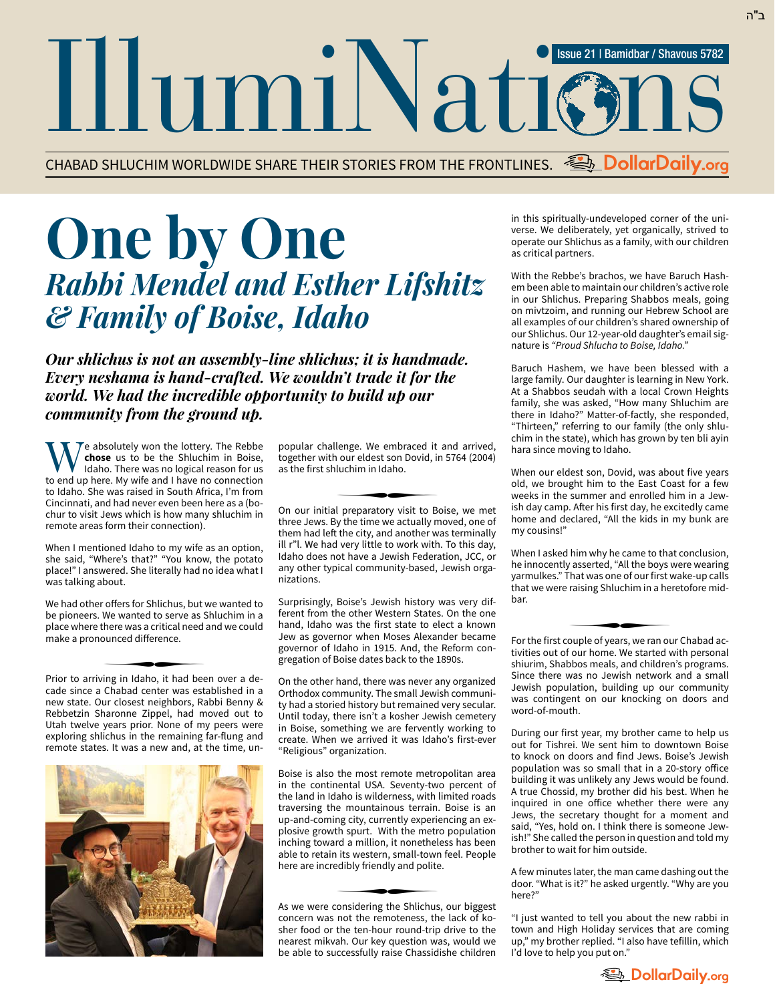## IllumiNation Issue 21 | Bamidbar / Shavous 5782

CHABAD SHLUCHIM WORLDWIDE SHARE THEIR STORIES FROM THE FRONTLINES. **DollarDaily.org**

## **One by One** *Rabbi Mendel and Esther Lifshitz & Family of Boise, Idaho*

*Our shlichus is not an assembly-line shlichus; it is handmade. Every neshama is hand-crafted. We wouldn't trade it for the world. We had the incredible opportunity to build up our community from the ground up.*

 $\mathcal{T}$ e absolutely won the lottery. The Rebbe **chose** us to be the Shluchim in Boise, Idaho. There was no logical reason for us to end up here. My wife and I have no connection to Idaho. She was raised in South Africa, I'm from Cincinnati, and had never even been here as a (bochur to visit Jews which is how many shluchim in remote areas form their connection).

When I mentioned Idaho to my wife as an option, she said, "Where's that?" "You know, the potato place!" I answered. She literally had no idea what I was talking about.

We had other offers for Shlichus, but we wanted to be pioneers. We wanted to serve as Shluchim in a place where there was a critical need and we could make a pronounced difference. ∑

Prior to arriving in Idaho, it had been over a de cade since a Chabad center was established in a new state. Our closest neighbors, Rabbi Benny & Rebbetzin Sharonne Zippel, had moved out to Utah twelve years prior. None of my peers were exploring shlichus in the remaining far-flung and remote states. It was a new and, at the time, un-



popular challenge. We embraced it and arrived, together with our eldest son Dovid, in 5764 (2004) as the first shluchim in Idaho.<br>————————————————————

On our initial preparatory visit to Boise, we met three Jews. By the time we actually moved, one of them had left the city, and another was terminally ill r"l. We had very little to work with. To this day, Idaho does not have a Jewish Federation, JCC, or any other typical community-based, Jewish organizations.

Surprisingly, Boise's Jewish history was very different from the other Western States. On the one hand, Idaho was the first state to elect a known Jew as governor when Moses Alexander became governor of Idaho in 1915. And, the Reform congregation of Boise dates back to the 1890s.

On the other hand, there was never any organized Orthodox community. The small Jewish community had a storied history but remained very secular. Until today, there isn't a kosher Jewish cemetery in Boise, something we are fervently working to create. When we arrived it was Idaho's first-ever "Religious" organization.

Boise is also the most remote metropolitan area in the continental USA. Seventy-two percent of the land in Idaho is wilderness, with limited roads traversing the mountainous terrain. Boise is an up-and-coming city, currently experiencing an explosive growth spurt. With the metro population inching toward a million, it nonetheless has been able to retain its western, small-town feel. People here are incredibly friendly and polite. ∑

As we were considering the Shlichus, our biggest concern was not the remoteness, the lack of ko sher food or the ten-hour round-trip drive to the nearest mikvah. Our key question was, would we be able to successfully raise Chassidishe children in this spiritually-undeveloped corner of the universe. We deliberately, yet organically, strived to operate our Shlichus as a family, with our children as critical partners.

With the Rebbe's brachos, we have Baruch Hashem been able to maintain our children's active role in our Shlichus. Preparing Shabbos meals, going on mivtzoim, and running our Hebrew School are all examples of our children's shared ownership of our Shlichus. Our 12-year-old daughter's email signature is *"Proud Shlucha to Boise, Idaho."*

Baruch Hashem, we have been blessed with a large family. Our daughter is learning in New York. At a Shabbos seudah with a local Crown Heights family, she was asked, "How many Shluchim are there in Idaho?" Matter-of-factly, she responded, "Thirteen," referring to our family (the only shluchim in the state), which has grown by ten bli ayin hara since moving to Idaho.

When our eldest son, Dovid, was about five years old, we brought him to the East Coast for a few weeks in the summer and enrolled him in a Jewish day camp. After his first day, he excitedly came home and declared, "All the kids in my bunk are my cousins!"

When I asked him why he came to that conclusion, he innocently asserted, "All the boys were wearing yarmulkes." That was one of our first wake-up calls that we were raising Shluchim in a heretofore midbar. ∑

For the first couple of years, we ran our Chabad ac tivities out of our home. We started with personal shiurim, Shabbos meals, and children's programs. Since there was no Jewish network and a small Jewish population, building up our community was contingent on our knocking on doors and word-of-mouth.

During our first year, my brother came to help us out for Tishrei. We sent him to downtown Boise to knock on doors and find Jews. Boise's Jewish population was so small that in a 20-story office building it was unlikely any Jews would be found. A true Chossid, my brother did his best. When he inquired in one office whether there were any Jews, the secretary thought for a moment and said, "Yes, hold on. I think there is someone Jewish!" She called the person in question and told my brother to wait for him outside.

A few minutes later, the man came dashing out the door. "What is it?" he asked urgently. "Why are you here?"

"I just wanted to tell you about the new rabbi in town and High Holiday services that are coming up," my brother replied. "I also have tefillin, which I'd love to help you put on."